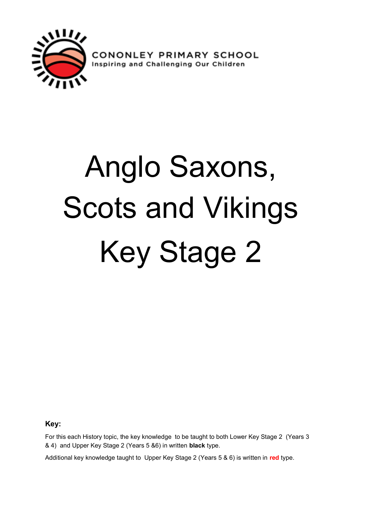

**CONONLEY PRIMARY SCHOOL**<br>Inspiring and Challenging Our Children

# Anglo Saxons, Scots and Vikings Key Stage 2

**Key:**

For this each History topic, the key knowledge to be taught to both Lower Key Stage 2 (Years 3 & 4) and Upper Key Stage 2 (Years 5 &6) in written **black** type.

Additional key knowledge taught to Upper Key Stage 2 (Years 5 & 6) is written in **red** type.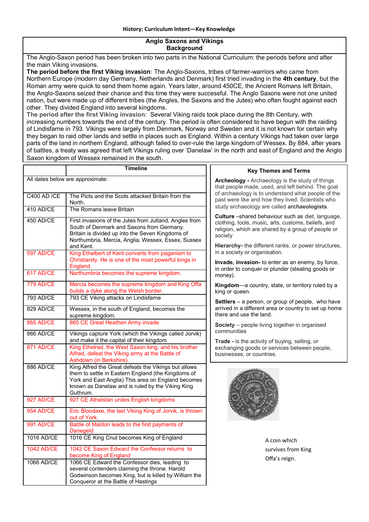#### **Anglo Saxons and Vikings Background**

The Anglo-Saxon period has been broken into two parts in the National Curriculum: the periods before and after the main Viking invasions.

**The period before the first Viking invasion**: The Anglo-Saxons, tribes of farmer-warriors who came from Northern Europe (modern day Germany, Netherlands and Denmark) first tried invading in the **4th century**, but the Roman army were quick to send them home again. Years later, around 450CE, the Ancient Romans left Britain, the Anglo-Saxons seized their chance and this time they were successful. The Anglo Saxons were not one united nation, but were made up of different tribes (the Angles, the Saxons and the Jutes) who often fought against each other. They divided England into several kingdoms.

**The period after the first Viking invasion**: Several Viking raids took place during the 8th Century, with increasing numbers towards the end of the century. The period is often considered to have begun with the raiding of Lindisfarne in 793. Vikings were largely from Denmark, Norway and Sweden and it is not known for certain why they began to raid other lands and settle in places such as England. Within a century Vikings had taken over large parts of the land in northern England, although failed to over-rule the large kingdom of Wessex. By 884, after years of battles, a treaty was agreed that left Vikings ruling over 'Danelaw' in the north and east of England and the Anglo Saxon kingdom of Wessex remained in the south.

|                                  | <b>Timeline</b>                                                                                                                                                                                                                  | <b>Key Themes and Terms</b>                                                                                                                                       |  |
|----------------------------------|----------------------------------------------------------------------------------------------------------------------------------------------------------------------------------------------------------------------------------|-------------------------------------------------------------------------------------------------------------------------------------------------------------------|--|
| All dates below are approximate: |                                                                                                                                                                                                                                  | <b>Archeology</b> - Archaeology is the study of things<br>that people made, used, and left behind. The goal<br>of archaeology is to understand what people of the |  |
| C400 AD / CE                     | The Picts and the Scots attacked Britain from the<br>North.                                                                                                                                                                      | past were like and how they lived. Scientists who<br>study archaeology are called archaeologists.                                                                 |  |
| 410 AD/CE                        | The Romans leave Britain                                                                                                                                                                                                         | Culture -shared behaviour such as diet, language,                                                                                                                 |  |
| 450 AD/CE                        | First invasions of the Jutes from Jutland, Angles from<br>South of Denmark and Saxons from Germany.<br>Britain is divided up into the Seven Kingdoms of<br>Northumbria, Mercia, Anglia, Wessex, Essex, Sussex                    | clothing, tools, music, arts, customs, beliefs, and<br>religion, which are shared by a group of people or<br>society                                              |  |
| <b>597 AD/CE</b>                 | and Kent.<br>King Ethelbert of Kent converts from paganism to                                                                                                                                                                    | Hierarchy- the different ranks, or power structures,<br>in a society or organisation.                                                                             |  |
|                                  | Christianity. He is one of the most powerful kings in<br>England.                                                                                                                                                                | Invade, invasion- to enter as an enemy, by force,<br>in order to conquer or plunder (stealing goods or                                                            |  |
| <b>617 AD/CE</b>                 | Northumbria becomes the supreme kingdom.                                                                                                                                                                                         | money).                                                                                                                                                           |  |
| <b>779 AD/CE</b>                 | Mercia becomes the supreme kingdom and King Offa<br>builds a dyke along the Welsh border.                                                                                                                                        | Kingdom-a country, state, or territory ruled by a<br>king or queen.                                                                                               |  |
| 793 AD/CE                        | 793 CE Viking attacks on Lindisfarne                                                                                                                                                                                             | Settlers - a person, or group of people, who have                                                                                                                 |  |
| 829 AD/CE                        | Wessex, in the south of England, becomes the<br>supreme kingdom.                                                                                                                                                                 | arrived in a different area or country to set up home<br>there and use the land.                                                                                  |  |
| <b>865 AD/CE</b>                 | 865 CE Great Heathen Army invade                                                                                                                                                                                                 | Society - people living together in organised                                                                                                                     |  |
| 866 AD/CE                        | Vikings capture York (which the Vikings called Jorvik)<br>and make it the capital of their kingdom                                                                                                                               | communities<br>Trade - is the activity of buying, selling, or<br>exchanging goods or services between people,<br>businesses, or countries.                        |  |
| 871 AD/CE                        | King Ethelred, the West Saxon king, and his brother<br>Alfred, defeat the Viking army at the Battle of<br>Ashdown (in Berkshire).                                                                                                |                                                                                                                                                                   |  |
| 886 AD/CE                        | King Alfred the Great defeats the Vikings but allows<br>them to settle in Eastern England (the Kingdoms of<br>York and East Anglia) This area on England becomes<br>known as Danelaw and is ruled by the Viking King<br>Guthrum. |                                                                                                                                                                   |  |
| 927 AD/CE                        | 927 CE Athelstan unites English kingdoms                                                                                                                                                                                         |                                                                                                                                                                   |  |
| <b>954 AD/CE</b>                 | Eric Bloodaxe, the last Viking King of Jorvik, is thrown<br>out of York.                                                                                                                                                         |                                                                                                                                                                   |  |
| <b>991 AD/CE</b>                 | Battle of Maldon leads to the first payments of<br>Danegeld                                                                                                                                                                      |                                                                                                                                                                   |  |
| 1016 AD/CE                       | 1016 CE King Cnut becomes King of England                                                                                                                                                                                        | A coin which                                                                                                                                                      |  |
| <b>1042 AD/CE</b>                | 1042 CE Saxon Edward the Confessor returns to<br>become King of England                                                                                                                                                          | survives from King                                                                                                                                                |  |
| 1066 AD/CE                       | 1066 CE Edward the Confessor dies, leading to<br>several contenders claiming the throne. Harold<br>Godwinson becomes King, but is killed by William the<br>Conqueror at the Battle of Hastings                                   | Offa's reign.                                                                                                                                                     |  |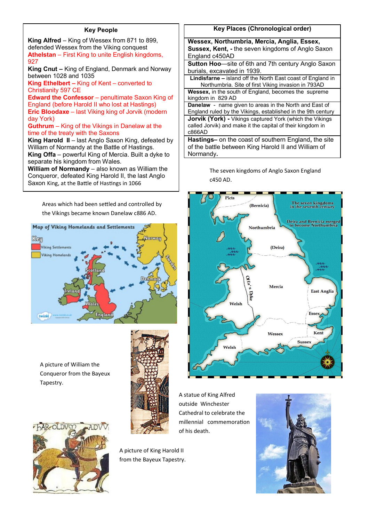#### **Key People**

**King Alfred** – King of Wessex from 871 to 899, defended Wessex from the Viking conquest **Athelstan** – First King to unite English kingdoms, 927

**King Cnut –** King of England, Denmark and Norway between 1028 and 1035

**King Ethelbert –** King of Kent – converted to Christianity 597 CE

**Edward the Confessor** – penultimate Saxon King of England (before Harold II who lost at Hastings) **Eric Bloodaxe** – last Viking king of Jorvik (modern day York)

#### **Guthrum** – King of the Vikings in Danelaw at the time of the treaty with the Saxons

**King Harold II** – last Anglo Saxon King, defeated by William of Normandy at the Battle of Hastings. **King Offa** – powerful King of Mercia. Built a dyke to separate his kingdom from Wales.

**William of Normandy** – also known as William the Conqueror, defeated King Harold II, the last Anglo Saxon King, at the Battle of Hastings in 1066

> Areas which had been settled and controlled by the Vikings became known Danelaw c886 AD.

# Map of Viking Homelands and Settlements Ken Norway **Viking Settlements Viking Homeland** Engle twinid

A picture of William the Conqueror from the Bayeux Tapestry.





A picture of King Harold II from the Bayeux Tapestry.



| Wessex, Northumbria, Mercia, Anglia, Essex,                        |  |  |  |
|--------------------------------------------------------------------|--|--|--|
| Sussex, Kent, - the seven kingdoms of Anglo Saxon                  |  |  |  |
| England c450AD                                                     |  |  |  |
| <b>Sutton Hoo—site of 6th and 7th century Anglo Saxon</b>          |  |  |  |
| burials, excavated in 1939.                                        |  |  |  |
| <b>Lindisfarne – island off the North East coast of England in</b> |  |  |  |
| Northumbria. Site of first Viking invasion in 793AD                |  |  |  |
| <b>Wessex, in the south of England, becomes the supreme</b>        |  |  |  |
| kingdom in 829 AD                                                  |  |  |  |
| <b>Danelaw</b> - name given to areas in the North and East of      |  |  |  |
| England ruled by the Vikings, established in the 9th century       |  |  |  |
| <b>Jorvik (York)</b> - Vikings captured York (which the Vikings    |  |  |  |
| called Jorvik) and make it the capital of their kingdom in         |  |  |  |
| c866AD                                                             |  |  |  |
| Hastings- on the coast of southern England, the site               |  |  |  |
| of the battle between King Harold II and William of                |  |  |  |

Normandy**.**

The seven kingdoms of Anglo Saxon England c450 AD.



A statue of King Alfred outside Winchester Cathedral to celebrate the millennial commemoration of his death.

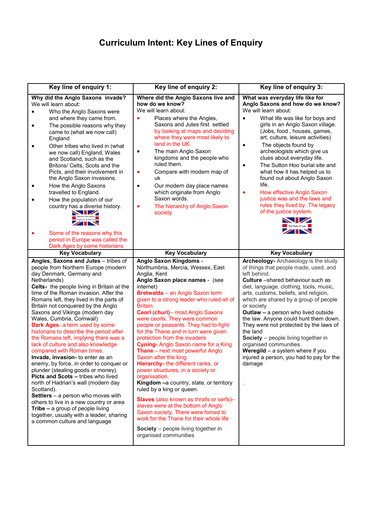### **Curriculum Intent: Key Lines of Enquiry**

| Key line of enquiry 1:                                                                                                                                                                                                                                                                                                                                                                                                                                                                                                                                                                                                                                                                                                                                                                                                                                                                                                                                                                | Key line of enquiry 2:                                                                                                                                                                                                                                                                                                                                                                                                                                                                                                                                                                                                                                                                                                                                                                                                                                                                                                   | Key line of enquiry 3:                                                                                                                                                                                                                                                                                                                                                                                                                                                                                                                                                                                                                          |
|---------------------------------------------------------------------------------------------------------------------------------------------------------------------------------------------------------------------------------------------------------------------------------------------------------------------------------------------------------------------------------------------------------------------------------------------------------------------------------------------------------------------------------------------------------------------------------------------------------------------------------------------------------------------------------------------------------------------------------------------------------------------------------------------------------------------------------------------------------------------------------------------------------------------------------------------------------------------------------------|--------------------------------------------------------------------------------------------------------------------------------------------------------------------------------------------------------------------------------------------------------------------------------------------------------------------------------------------------------------------------------------------------------------------------------------------------------------------------------------------------------------------------------------------------------------------------------------------------------------------------------------------------------------------------------------------------------------------------------------------------------------------------------------------------------------------------------------------------------------------------------------------------------------------------|-------------------------------------------------------------------------------------------------------------------------------------------------------------------------------------------------------------------------------------------------------------------------------------------------------------------------------------------------------------------------------------------------------------------------------------------------------------------------------------------------------------------------------------------------------------------------------------------------------------------------------------------------|
| Why did the Anglo Saxons invade?<br>We will learn about:<br>Who the Anglo Saxons were<br>and where they came from.<br>The possible reasons why they<br>$\bullet$<br>came to (what we now call)<br>England<br>Other tribes who lived in (what<br>$\bullet$<br>we now call) England, Wales<br>and Scotland, such as the<br>Britons/ Celts, Scots and the<br>Picts, and their involvement in<br>the Anglo Saxon invasions.<br>How the Anglo Saxons<br>٠<br>travelled to England.<br>How the population of our<br>country has a diverse history.<br>Tolerance and respect<br>of opinions & diversity<br>Some of the reasons why this<br>period in Europe was called the                                                                                                                                                                                                                                                                                                                   | Where did the Anglo Saxons live and<br>how do we know?<br>We will learn about:<br>Places where the Angles,<br>Saxons and Jutes first settled<br>by looking at maps and deciding<br>where they were most likely to<br>land in the UK.<br>The main Anglo Saxon<br>٠<br>kingdoms and the people who<br>ruled them.<br>Compare with modern map of<br>٠<br>uk<br>Our modern day place names<br>$\bullet$<br>which originate from Anglo<br>Saxon words.<br>The hierarchy of Anglo Saxon<br>$\bullet$<br>society                                                                                                                                                                                                                                                                                                                                                                                                                | What was everyday life like for<br>Anglo Saxons and how do we know?<br>We will learn about:<br>What life was like for boys and<br>girls in an Anglo Saxon village.<br>(Jobs, food, houses, games,<br>art, culture, leisure activities)<br>The objects found by<br>$\bullet$<br>archeologists which give us<br>clues about everyday life.<br>The Sutton Hoo burial site and<br>$\bullet$<br>what how it has helped us to<br>found out about Anglo Saxon<br>life.<br>How effective Anglo Saxon<br>٠<br>justice was and the laws and<br>rules they lived by. The legacy<br>of the justice system.<br>$\blacksquare$<br>The Rule of Law<br>$\times$ |
| Dark Ages by some historians<br><b>Key Vocabulary</b>                                                                                                                                                                                                                                                                                                                                                                                                                                                                                                                                                                                                                                                                                                                                                                                                                                                                                                                                 | <b>Key Vocabulary</b>                                                                                                                                                                                                                                                                                                                                                                                                                                                                                                                                                                                                                                                                                                                                                                                                                                                                                                    | <b>Key Vocabulary</b>                                                                                                                                                                                                                                                                                                                                                                                                                                                                                                                                                                                                                           |
| Angles, Saxons and Jutes - tribes of<br>people from Northern Europe (modern<br>day Denmark, Germany and<br>Netherlands)<br>Celts- the people living in Britain at the<br>time of the Roman invasion. After the<br>Romans left, they lived in the parts of<br>Britain not conquered by the Anglo<br>Saxons and Vikings (modern day<br>Wales, Cumbria, Cornwall)<br>Dark Ages- a term used by some<br>historians to describe the period after<br>the Romans left, implying there was a<br>lack of culture and also knowledge<br>compared with Roman times.<br><b>Invade, invasion-</b> to enter as an<br>enemy, by force, in order to conquer or<br>plunder (stealing goods or money).<br>Picts and Scots - tribes who lived<br>north of Hadrian's wall (modern day<br>Scotland).<br>Settlers $-$ a person who moves with<br>others to live in a new country or area<br>Tribe $-$ a group of people living<br>together, usually with a leader, sharing<br>a common culture and language | Anglo Saxon Kingdoms -<br>Northumbria, Mercia, Wessex, East<br>Anglia, Kent<br>Anglo Saxon place names - (see<br>internet)<br>Bretwalda - an Anglo Saxon term<br>given to a strong leader who ruled all of<br>Britain.<br>Ceorl (churl)- most Anglo Saxons<br>were ceorls. They were common<br>people or peasants. They had to fight<br>for the Thane and in turn were given<br>protection from the invaders<br>Cyning- Anglo Saxon name for a King<br>Thane - next most powerful Anglo<br>Saxon after the king.<br>Hierarchy- the different ranks, or<br>power structures, in a society or<br>organisation.<br>Kingdom -a country, state, or territory<br>ruled by a king or queen.<br>Slaves (also known as thralls or serfs)-<br>slaves were at the bottom of Anglo<br>Saxon society. There were forced to<br>work for the Thane for their whole life<br>Society - people living together in<br>organised communities | Archeology- Archaeology is the study<br>of things that people made, used, and<br>left behind.<br><b>Culture</b> - shared behaviour such as<br>diet, language, clothing, tools, music,<br>arts, customs, beliefs, and religion,<br>which are shared by a group of people<br>or society<br>Outlaw - a person who lived outside<br>the law. Anyone could hunt them down.<br>They were not protected by the laws of<br>the land<br>Society - people living together in<br>organised communities<br><b>Weregild</b> $-$ a system where if you<br>injured a person, you had to pay for the<br>damage                                                  |